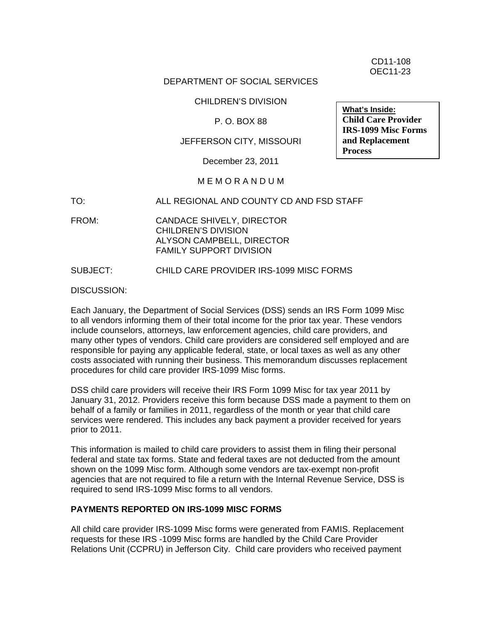CD11-108 OEC11-23

#### DEPARTMENT OF SOCIAL SERVICES

CHILDREN'S DIVISION

P. O. BOX 88

## JEFFERSON CITY, MISSOURI

December 23, 2011

# M E M O R A N D U M

TO: ALL REGIONAL AND COUNTY CD AND FSD STAFF

FROM: CANDACE SHIVELY, DIRECTOR CHILDREN'S DIVISION ALYSON CAMPBELL, DIRECTOR FAMILY SUPPORT DIVISION

#### SUBJECT: CHILD CARE PROVIDER IRS-1099 MISC FORMS

DISCUSSION:

Each January, the Department of Social Services (DSS) sends an IRS Form 1099 Misc to all vendors informing them of their total income for the prior tax year. These vendors include counselors, attorneys, law enforcement agencies, child care providers, and many other types of vendors. Child care providers are considered self employed and are responsible for paying any applicable federal, state, or local taxes as well as any other costs associated with running their business. This memorandum discusses replacement procedures for child care provider IRS-1099 Misc forms.

DSS child care providers will receive their IRS Form 1099 Misc for tax year 2011 by January 31, 2012. Providers receive this form because DSS made a payment to them on behalf of a family or families in 2011, regardless of the month or year that child care services were rendered. This includes any back payment a provider received for years prior to 2011.

This information is mailed to child care providers to assist them in filing their personal federal and state tax forms. State and federal taxes are not deducted from the amount shown on the 1099 Misc form. Although some vendors are tax-exempt non-profit agencies that are not required to file a return with the Internal Revenue Service, DSS is required to send IRS-1099 Misc forms to all vendors.

## **PAYMENTS REPORTED ON IRS-1099 MISC FORMS**

All child care provider IRS-1099 Misc forms were generated from FAMIS. Replacement requests for these IRS -1099 Misc forms are handled by the Child Care Provider Relations Unit (CCPRU) in Jefferson City. Child care providers who received payment

**What's Inside: Child Care Provider IRS-1099 Misc Forms and Replacement Process**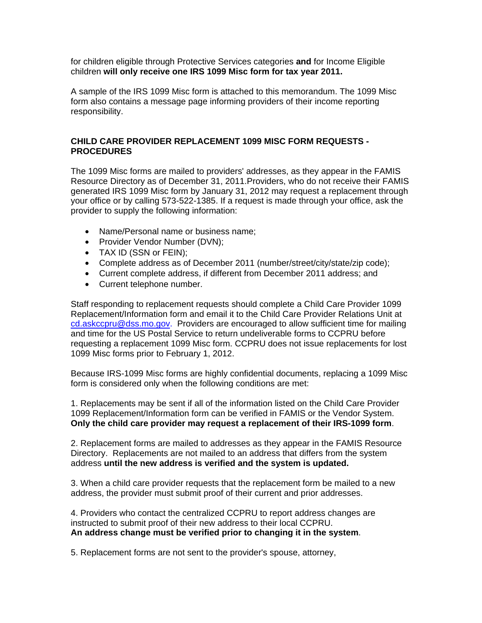for children eligible through Protective Services categories **and** for Income Eligible children **will only receive one IRS 1099 Misc form for tax year 2011.** 

A sample of the IRS 1099 Misc form is attached to this memorandum. The 1099 Misc form also contains a message page informing providers of their income reporting responsibility.

# **CHILD CARE PROVIDER REPLACEMENT 1099 MISC FORM REQUESTS - PROCEDURES**

The 1099 Misc forms are mailed to providers' addresses, as they appear in the FAMIS Resource Directory as of December 31, 2011.Providers, who do not receive their FAMIS generated IRS 1099 Misc form by January 31, 2012 may request a replacement through your office or by calling 573-522-1385. If a request is made through your office, ask the provider to supply the following information:

- Name/Personal name or business name;
- Provider Vendor Number (DVN);
- TAX ID (SSN or FEIN);
- Complete address as of December 2011 (number/street/city/state/zip code);
- Current complete address, if different from December 2011 address; and
- Current telephone number.

Staff responding to replacement requests should complete a Child Care Provider 1099 Replacement/Information form and email it to the Child Care Provider Relations Unit at [cd.askccpru@dss.mo.gov](mailto:cd.askccpru@dss.mo.gov). Providers are encouraged to allow sufficient time for mailing and time for the US Postal Service to return undeliverable forms to CCPRU before requesting a replacement 1099 Misc form. CCPRU does not issue replacements for lost 1099 Misc forms prior to February 1, 2012.

Because IRS-1099 Misc forms are highly confidential documents, replacing a 1099 Misc form is considered only when the following conditions are met:

1. Replacements may be sent if all of the information listed on the Child Care Provider 1099 Replacement/Information form can be verified in FAMIS or the Vendor System. **Only the child care provider may request a replacement of their IRS-1099 form**.

2. Replacement forms are mailed to addresses as they appear in the FAMIS Resource Directory. Replacements are not mailed to an address that differs from the system address **until the new address is verified and the system is updated.** 

3. When a child care provider requests that the replacement form be mailed to a new address, the provider must submit proof of their current and prior addresses.

4. Providers who contact the centralized CCPRU to report address changes are instructed to submit proof of their new address to their local CCPRU. **An address change must be verified prior to changing it in the system**.

5. Replacement forms are not sent to the provider's spouse, attorney,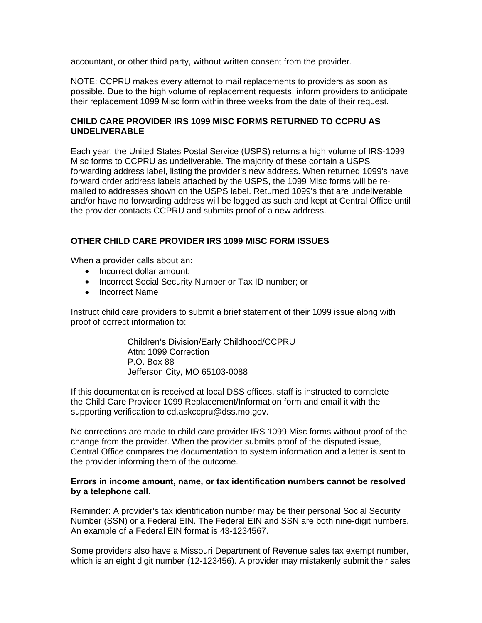accountant, or other third party, without written consent from the provider.

NOTE: CCPRU makes every attempt to mail replacements to providers as soon as possible. Due to the high volume of replacement requests, inform providers to anticipate their replacement 1099 Misc form within three weeks from the date of their request.

# **CHILD CARE PROVIDER IRS 1099 MISC FORMS RETURNED TO CCPRU AS UNDELIVERABLE**

Each year, the United States Postal Service (USPS) returns a high volume of IRS-1099 Misc forms to CCPRU as undeliverable. The majority of these contain a USPS forwarding address label, listing the provider's new address. When returned 1099's have forward order address labels attached by the USPS, the 1099 Misc forms will be remailed to addresses shown on the USPS label. Returned 1099's that are undeliverable and/or have no forwarding address will be logged as such and kept at Central Office until the provider contacts CCPRU and submits proof of a new address.

## **OTHER CHILD CARE PROVIDER IRS 1099 MISC FORM ISSUES**

When a provider calls about an:

- Incorrect dollar amount;
- Incorrect Social Security Number or Tax ID number; or
- Incorrect Name

Instruct child care providers to submit a brief statement of their 1099 issue along with proof of correct information to:

> Children's Division/Early Childhood/CCPRU Attn: 1099 Correction P.O. Box 88 Jefferson City, MO 65103-0088

If this documentation is received at local DSS offices, staff is instructed to complete the Child Care Provider 1099 Replacement/Information form and email it with the supporting verification to cd.askccpru@dss.mo.gov.

No corrections are made to child care provider IRS 1099 Misc forms without proof of the change from the provider. When the provider submits proof of the disputed issue, Central Office compares the documentation to system information and a letter is sent to the provider informing them of the outcome.

## **Errors in income amount, name, or tax identification numbers cannot be resolved by a telephone call.**

Reminder: A provider's tax identification number may be their personal Social Security Number (SSN) or a Federal EIN. The Federal EIN and SSN are both nine-digit numbers. An example of a Federal EIN format is 43-1234567.

Some providers also have a Missouri Department of Revenue sales tax exempt number, which is an eight digit number (12-123456). A provider may mistakenly submit their sales